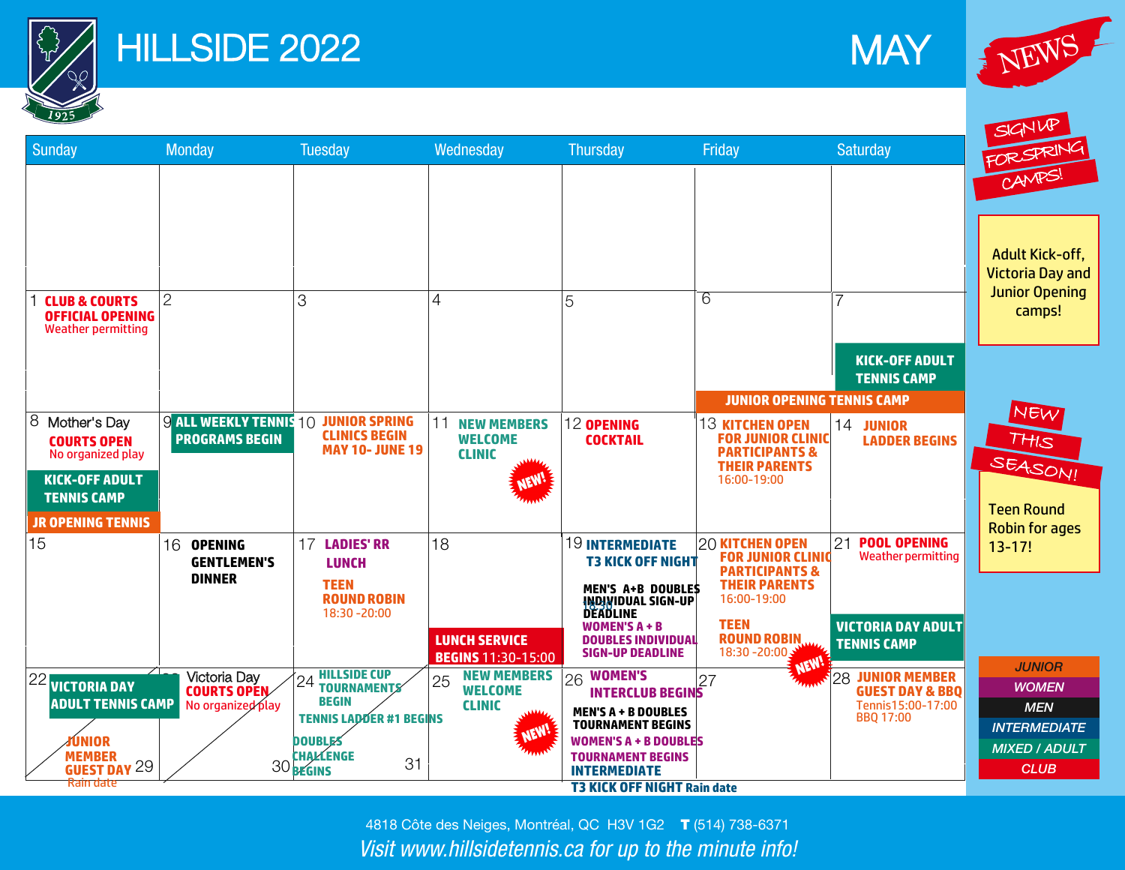

Rain date

## HILLSIDE 2022





SIGNUP FOR SPRING Sunday Monday Tuesday Wednesday Thursday Friday Saturday CAMPS! Adult Kick-off, Victoria Day and Junior Opening  $\mathcal{P}$ 5 6 7 **CLUB & COURTS**  3 4 camps! **OFFICIAL OPENING** Weather permitting **KICK-OFF ADULT TENNIS CAMP JUNIOR OPENING TENNIS CAMP**  NEW 8 Mother's Day  $9$  all weekly tennis 10  $\,$  Junior Spring  $\,$  |11  $\,$  New Members  $\,$  |12 opening  $\,$  |13 kitchen open  $\,$  |14  $\,$ **11 NEW MEMBERS 12 OPENING 13 KITCHEN OPEN JUNIOR CLINICS BEGIN**  THIS **PROGRAMS BEGIN COCKTAIL FOR JUNIOR CLINIC COURTS OPEN WELCOME LADDER BEGINS MAY 10- JUNE 19 PARTICIPANTS & CLINIC**  No organized play SEASON! **THEIR PARENTS KICK-OFF ADULT**  16:00-19:00 **TENNIS CAMP**  Teen Round **JR OPENING TENNIS**  Robin for ages **21 POOL OPENING LADIES' RR**  15 16 **16 OPENING 18** 19 INTERMEDIATE T3 20 KITCHEN OPEN 21 13-17! **FOR JUNIOR CLINIC** Weather permitting **KICK OFF NIGHT GENTLEMEN'S LUNCH PARTICIPANTS & DINNER MEN'S A+B DOUBLES TEEN THEIR PARENTS INDIVIDUAL SIGN-UP ROUND ROBIN** 16:00-19:00 **DEADLINE** 18:30 -20:00 **TEEN WOMEN'S A + B VICTORIA DAY ADULT LUNCH SERVICE ROUND ROBIN DOUBLES INDIVIDUAL**  18:30 -20:00 **TENNIS CAMP SIGN-UP DEADLINE BEGINS** 11:30-15:00 *JUNIOR* **22** 23 Victoria Day 24 HILLSIDE CUP<br> **COURTS OPEN** 25 WELCOME<br>
No organized play<br> **TENNIS LADDER #1 BEGINS**<br> **ADULT TENNIS LADDER #1 BEGINS**<br> **ADULT TENNIS LADDER #1 BEGINS**<br> **ADULT TENNIS LADDER #1 BEGINS**<br> **ADULT AND RE WOMEN'S**   $23$  Victoria Day **HILLSIDE CUP JUNIOR MEMBER NEW MEMBERS 24 TOURNAMENTS** 25 WUMEN'S<br>**INTERCLUB BEGINS**<sup>27</sup> *WOMEN* **COURTS OPEN WELCOME GUEST DAY & BBQ BEGIN**  No organized play Tennis15:00-17:00 **CLINIC**  *MEN* **MEN'S A + B DOUBLES TENNIS LADDER #1 BEGINS**  BBQ 17:00 **TOURNAMENT BEGINS**  *INTERMEDIATE* **NEW! DOUBLES WOMEN'S A + B DOUBLES**  *MIXED / ADULT* **TOURNAMENT BEGINS CHALLENGE MEMBER INTERMEDIATE** *CLUB* GUEST DAY<br>Rain date<br>29 30 **BEGINS** 

> 4818 Côte des Neiges, Montréal, QC H3V 1G2 T (514) 738-6371 *Visit www.hillsidetennis.ca for up to the minute info!*

**T3 KICK OFF NIGHT Rain date**

31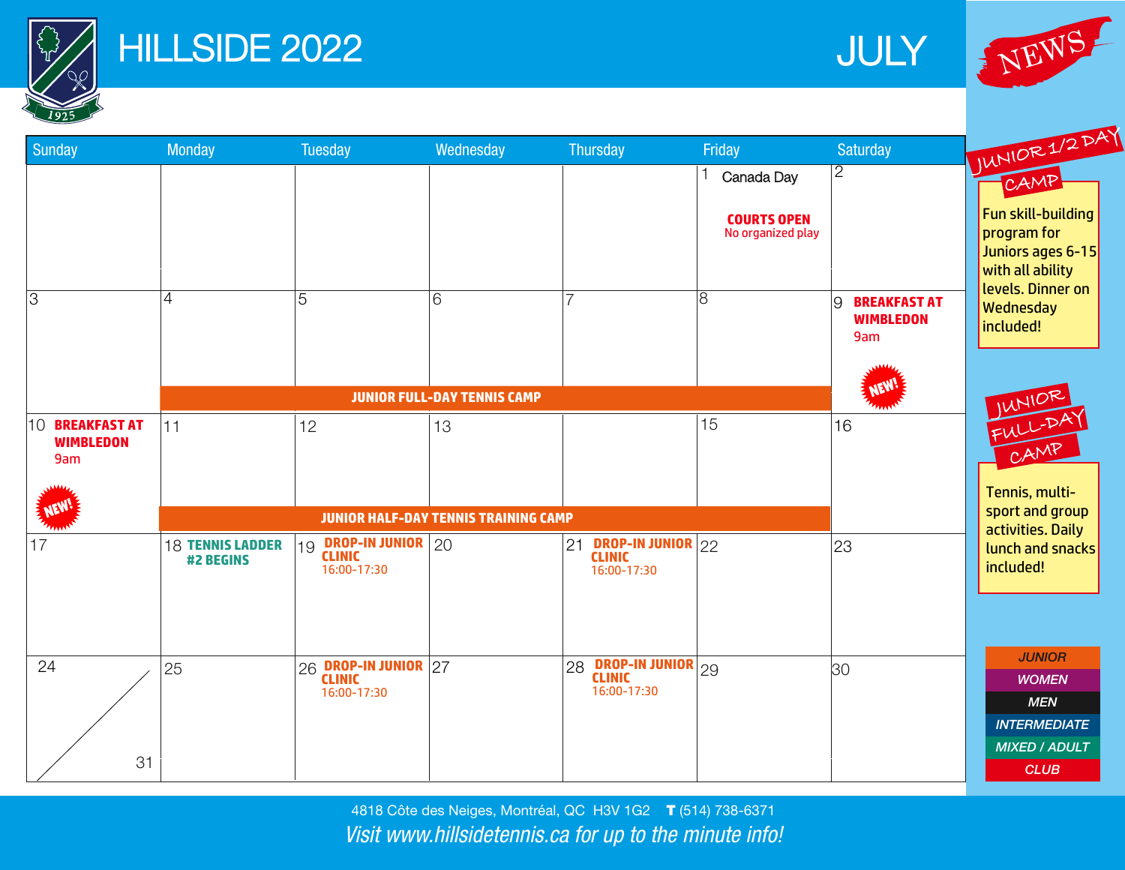

## **HILLSIDE 2022**







4818 Côte des Neiges, Montréal, QC H3V 1G2 T (514) 738-6371 *Visit www.hillsidetennis.ca for up to the minute info!*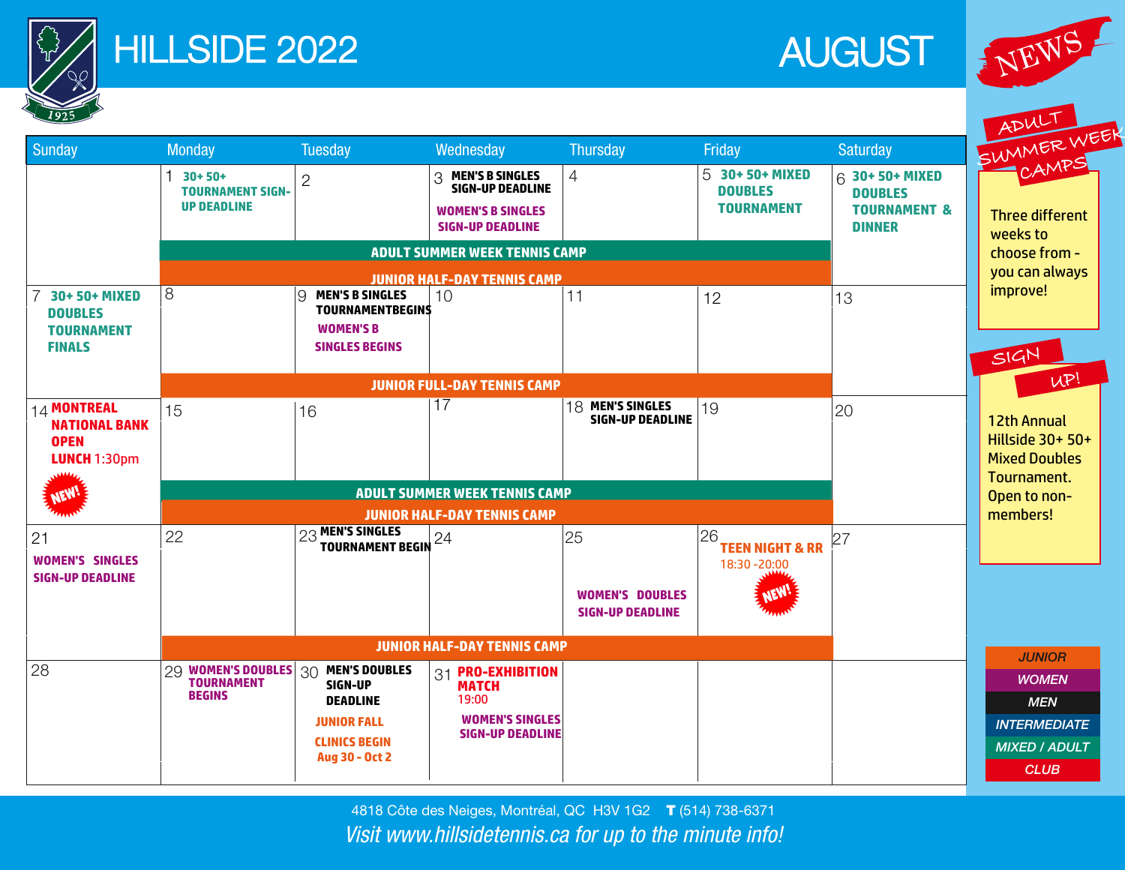

## HILLSIDE 2022 AUGUST







4818 Côte des Neiges, Montréal, QC H3V 1G2 T (514) 738-6371 *Visit www.hillsidetennis.ca for up to the minute info!*